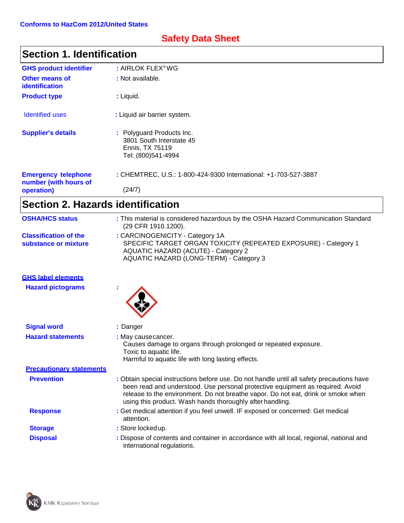# **Safety Data Sheet**

| <b>Section 1. Identification</b>                    |                                                                                                |
|-----------------------------------------------------|------------------------------------------------------------------------------------------------|
| <b>GHS product identifier</b>                       | : AIRLOK FLEX®WG                                                                               |
| <b>Other means of</b><br><b>identification</b>      | : Not available.                                                                               |
| <b>Product type</b>                                 | : Liquid.                                                                                      |
| <b>Identified uses</b>                              | : Liquid air barrier system.                                                                   |
| <b>Supplier's details</b>                           | : Polyguard Products Inc.<br>3801 South Interstate 45<br>Ennis, TX 75119<br>Tel: (800)541-4994 |
| <b>Emergency telephone</b><br>number (with hours of | : CHEMTREC, U.S.: 1-800-424-9300 International: +1-703-527-3887                                |
| operation)                                          | (24/7)                                                                                         |

| <b>OSHA/HCS status</b>                               | : This material is considered hazardous by the OSHA Hazard Communication Standard<br>(29 CFR 1910.1200).                                                                                                                                                                                                                      |
|------------------------------------------------------|-------------------------------------------------------------------------------------------------------------------------------------------------------------------------------------------------------------------------------------------------------------------------------------------------------------------------------|
| <b>Classification of the</b><br>substance or mixture | : CARCINOGENICITY - Category 1A<br>SPECIFIC TARGET ORGAN TOXICITY (REPEATED EXPOSURE) - Category 1<br><b>AQUATIC HAZARD (ACUTE) - Category 2</b><br>AQUATIC HAZARD (LONG-TERM) - Category 3                                                                                                                                   |
| <b>GHS label elements</b>                            |                                                                                                                                                                                                                                                                                                                               |
| <b>Hazard pictograms</b>                             |                                                                                                                                                                                                                                                                                                                               |
| <b>Signal word</b>                                   | : Danger                                                                                                                                                                                                                                                                                                                      |
| <b>Hazard statements</b>                             | : May cause cancer.<br>Causes damage to organs through prolonged or repeated exposure.<br>Toxic to aquatic life.<br>Harmful to aquatic life with long lasting effects.                                                                                                                                                        |
| <b>Precautionary statements</b>                      |                                                                                                                                                                                                                                                                                                                               |
| <b>Prevention</b>                                    | : Obtain special instructions before use. Do not handle until all safety precautions have<br>been read and understood. Use personal protective equipment as required. Avoid<br>release to the environment. Do not breathe vapor. Do not eat, drink or smoke when<br>using this product. Wash hands thoroughly after handling. |
| <b>Response</b>                                      | : Get medical attention if you feel unwell. IF exposed or concerned: Get medical<br>attention.                                                                                                                                                                                                                                |
| <b>Storage</b>                                       | : Store locked up.                                                                                                                                                                                                                                                                                                            |
| <b>Disposal</b>                                      | : Dispose of contents and container in accordance with all local, regional, national and<br>international regulations.                                                                                                                                                                                                        |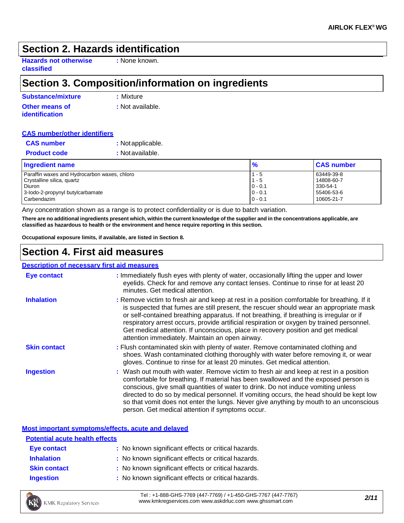### **Section 2. Hazards identification**

**Hazards not otherwise classified**

**:** None known.

# **Section 3. Composition/information on ingredients**

| <b>Substance/mixture</b>                | : Mixture        |
|-----------------------------------------|------------------|
| <b>Other means of</b><br>identification | : Not available. |

### **CAS number/other identifiers**

| <b>Ingradiant</b> nama |                   |
|------------------------|-------------------|
| <b>Product code</b>    | : Not available.  |
| <b>CAS number</b>      | : Not applicable. |

| <b>Ingredient name</b>                       | $\frac{9}{6}$ | <b>CAS number</b> |
|----------------------------------------------|---------------|-------------------|
| Paraffin waxes and Hydrocarbon waxes, chloro | $1 - 5$       | 63449-39-8        |
| Crystalline silica, quartz                   | $1 - 5$       | 14808-60-7        |
| <b>Diuron</b>                                | $0 - 0.1$     | 330-54-1          |
| 3-lodo-2-propynyl butylcarbamate             | $0 - 0.1$     | 55406-53-6        |
| Carbendazim                                  | $0 - 0.1$     | 10605-21-7        |

Any concentration shown as a range is to protect confidentiality or is due to batch variation.

There are no additional ingredients present which, within the current knowledge of the supplier and in the concentrations applicable, are **classified as hazardous to health or the environment and hence require reporting in this section.**

**Occupational exposure limits, if available, are listed in Section 8.**

## **Section 4. First aid measures**

#### **Description of necessary first aid measures Eye contact Inhalation Skin contact :** Immediately flush eyes with plenty of water, occasionally lifting the upper and lower eyelids. Check for and remove any contact lenses. Continue to rinse for at least 20 minutes. Get medical attention. **:** Remove victim to fresh air and keep at rest in a position comfortable for breathing. If it is suspected that fumes are still present, the rescuer should wear an appropriate mask or self-contained breathing apparatus. If not breathing, if breathing is irregular or if respiratory arrest occurs, provide artificial respiration or oxygen by trained personnel. Get medical attention. If unconscious, place in recovery position and get medical attention immediately. Maintain an open airway. **:** Flush contaminated skin with plenty of water. Remove contaminated clothing and shoes. Wash contaminated clothing thoroughly with water before removing it, or wear gloves. Continue to rinse for at least 20 minutes. Get medical attention. **Ingestion 1998 :** Wash out mouth with water. Remove victim to fresh air and keep at rest in a position comfortable for breathing. If material has been swallowed and the exposed person is conscious, give small quantities of water to drink. Do not induce vomiting unless directed to do so by medical personnel. If vomiting occurs, the head should be kept low so that vomit does not enter the lungs. Never give anything by mouth to an unconscious person. Get medical attention if symptoms occur.

**Most important symptoms/effects, acute and delayed**

Tel : +1-888-GHS-7769 (447-7769) / +1-450-GHS-7767 (447-7767) [www.kmkregservices.com](http://www.kmkregservices.com/) [www.askdrluc.com](http://www.askdrluc.com/) [www.ghssmart.com](http://www.ghssmart.com/) *2/11*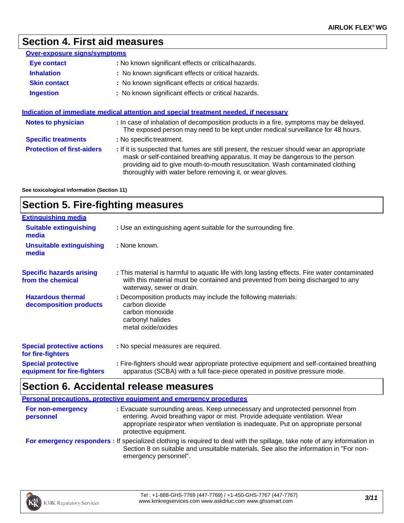# **Section 4. First aid measures**

| <b>Over-exposure signs/symptoms</b> |                                                                                                                                                                                                                                                                                                                           |
|-------------------------------------|---------------------------------------------------------------------------------------------------------------------------------------------------------------------------------------------------------------------------------------------------------------------------------------------------------------------------|
| <b>Eye contact</b>                  | : No known significant effects or critical hazards.                                                                                                                                                                                                                                                                       |
| <b>Inhalation</b>                   | : No known significant effects or critical hazards.                                                                                                                                                                                                                                                                       |
| <b>Skin contact</b>                 | : No known significant effects or critical hazards.                                                                                                                                                                                                                                                                       |
| <b>Ingestion</b>                    | : No known significant effects or critical hazards.                                                                                                                                                                                                                                                                       |
| <b>Notes to physician</b>           | Indication of immediate medical attention and special treatment needed, if necessary<br>: In case of inhalation of decomposition products in a fire, symptoms may be delayed.<br>The exposed person may need to be kept under medical surveillance for 48 hours.                                                          |
| <b>Specific treatments</b>          | : No specific treatment.                                                                                                                                                                                                                                                                                                  |
| <b>Protection of first-aiders</b>   | : If it is suspected that fumes are still present, the rescuer should wear an appropriate<br>mask or self-contained breathing apparatus. It may be dangerous to the person<br>providing aid to give mouth-to-mouth resuscitation. Wash contaminated clothing<br>thoroughly with water before removing it, or wear gloves. |

**See toxicological information (Section 11)**

# **Section 5. Fire-fighting measures**

| <b>Extinguishing media</b>                               |                                                                                                                                                                                                               |
|----------------------------------------------------------|---------------------------------------------------------------------------------------------------------------------------------------------------------------------------------------------------------------|
| <b>Suitable extinguishing</b><br>media                   | : Use an extinguishing agent suitable for the surrounding fire.                                                                                                                                               |
| <b>Unsuitable extinguishing</b><br>media                 | : None known.                                                                                                                                                                                                 |
| <b>Specific hazards arising</b><br>from the chemical     | : This material is harmful to aquatic life with long lasting effects. Fire water contaminated<br>with this material must be contained and prevented from being discharged to any<br>waterway, sewer or drain. |
| <b>Hazardous thermal</b><br>decomposition products       | : Decomposition products may include the following materials:<br>carbon dioxide<br>carbon monoxide<br>carbonyl halides<br>metal oxide/oxides                                                                  |
| <b>Special protective actions</b><br>for fire-fighters   | : No special measures are required.                                                                                                                                                                           |
| <b>Special protective</b><br>equipment for fire-fighters | : Fire-fighters should wear appropriate protective equipment and self-contained breathing<br>apparatus (SCBA) with a full face-piece operated in positive pressure mode.                                      |

## **Section 6. Accidental release measures**

|                                | <b>Personal precautions, protective equipment and emergency procedures</b>                                                                                                                                                                                                  |
|--------------------------------|-----------------------------------------------------------------------------------------------------------------------------------------------------------------------------------------------------------------------------------------------------------------------------|
| For non-emergency<br>personnel | : Evacuate surrounding areas. Keep unnecessary and unprotected personnel from<br>entering. Avoid breathing vapor or mist. Provide adequate ventilation. Wear<br>appropriate respirator when ventilation is inadequate. Put on appropriate personal<br>protective equipment. |
|                                | For emergency responders: If specialized clothing is required to deal with the spillage, take note of any information in<br>Section 8 on suitable and unsuitable materials. See also the information in "For non-<br>emergency personnel".                                  |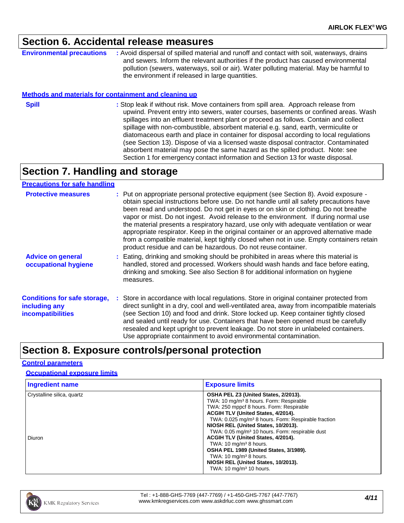### **Section 6. Accidental release measures**

**Environmental precautions :** Avoid dispersal of spilled material and runoff and contact with soil, waterways, drains and sewers. Inform the relevant authorities if the product has caused environmental pollution (sewers, waterways, soil or air). Water polluting material. May be harmful to the environment if released in large quantities.

### **Methods and materials for containment and cleaning up**

- 
- **Spill Example 20 :** Stop leak if without risk. Move containers from spill area. Approach release from upwind. Prevent entry into sewers, water courses, basements or confined areas. Wash spillages into an effluent treatment plant or proceed as follows. Contain and collect spillage with non-combustible, absorbent material e.g. sand, earth, vermiculite or diatomaceous earth and place in container for disposal according to local regulations (see Section 13). Dispose of via a licensed waste disposal contractor. Contaminated absorbent material may pose the same hazard as the spilled product. Note: see Section 1 for emergency contact information and Section 13 for waste disposal.

### **Section 7. Handling and storage**

### **Precautions for safe handling**

| <b>Protective measures</b>                                                       | : Put on appropriate personal protective equipment (see Section 8). Avoid exposure -<br>obtain special instructions before use. Do not handle until all safety precautions have<br>been read and understood. Do not get in eyes or on skin or clothing. Do not breathe<br>vapor or mist. Do not ingest. Avoid release to the environment. If during normal use<br>the material presents a respiratory hazard, use only with adequate ventilation or wear<br>appropriate respirator. Keep in the original container or an approved alternative made<br>from a compatible material, kept tightly closed when not in use. Empty containers retain<br>product residue and can be hazardous. Do not reuse container. |
|----------------------------------------------------------------------------------|-----------------------------------------------------------------------------------------------------------------------------------------------------------------------------------------------------------------------------------------------------------------------------------------------------------------------------------------------------------------------------------------------------------------------------------------------------------------------------------------------------------------------------------------------------------------------------------------------------------------------------------------------------------------------------------------------------------------|
| <b>Advice on general</b><br>occupational hygiene                                 | : Eating, drinking and smoking should be prohibited in areas where this material is<br>handled, stored and processed. Workers should wash hands and face before eating,<br>drinking and smoking. See also Section 8 for additional information on hygiene<br>measures.                                                                                                                                                                                                                                                                                                                                                                                                                                          |
| <b>Conditions for safe storage,</b><br>including any<br><b>incompatibilities</b> | : Store in accordance with local regulations. Store in original container protected from<br>direct sunlight in a dry, cool and well-ventilated area, away from incompatible materials<br>(see Section 10) and food and drink. Store locked up. Keep container tightly closed<br>and sealed until ready for use. Containers that have been opened must be carefully<br>resealed and kept upright to prevent leakage. Do not store in unlabeled containers.<br>Use appropriate containment to avoid environmental contamination.                                                                                                                                                                                  |

## **Section 8. Exposure controls/personal protection**

### **Control parameters**

### **Occupational exposure limits**

| <b>Ingredient name</b>     | <b>Exposure limits</b>                                          |
|----------------------------|-----------------------------------------------------------------|
| Crystalline silica, quartz | OSHA PEL Z3 (United States, 2/2013).                            |
|                            | TWA: 10 mg/m <sup>3</sup> 8 hours. Form: Respirable             |
|                            | TWA: 250 mppcf 8 hours. Form: Respirable                        |
|                            | ACGIH TLV (United States, 4/2014).                              |
|                            | TWA: 0.025 mg/m <sup>3</sup> 8 hours. Form: Respirable fraction |
|                            | NIOSH REL (United States, 10/2013).                             |
|                            | TWA: 0.05 mg/m <sup>3</sup> 10 hours. Form: respirable dust     |
| Diuron                     | ACGIH TLV (United States, 4/2014).                              |
|                            | TWA: $10 \text{ mg/m}^3$ 8 hours.                               |
|                            | OSHA PEL 1989 (United States, 3/1989).                          |
|                            | TWA: $10 \text{ mg/m}^3$ 8 hours.                               |
|                            | NIOSH REL (United States, 10/2013).                             |
|                            | TWA: $10 \text{ ma/m}^3$ 10 hours.                              |

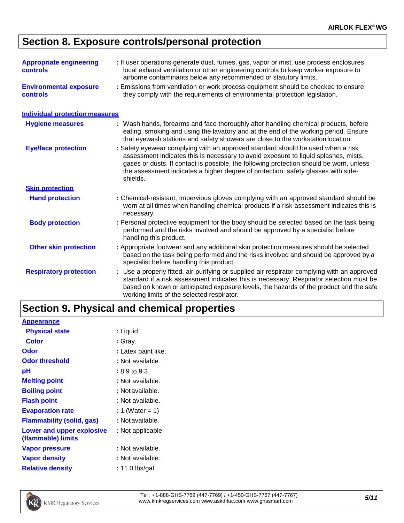# **Section 8. Exposure controls/personal protection**

| <b>Appropriate engineering</b><br><b>controls</b> | : If user operations generate dust, fumes, gas, vapor or mist, use process enclosures,<br>local exhaust ventilation or other engineering controls to keep worker exposure to<br>airborne contaminants below any recommended or statutory limits.                                                                                                                   |
|---------------------------------------------------|--------------------------------------------------------------------------------------------------------------------------------------------------------------------------------------------------------------------------------------------------------------------------------------------------------------------------------------------------------------------|
| <b>Environmental exposure</b><br><b>controls</b>  | : Emissions from ventilation or work process equipment should be checked to ensure<br>they comply with the requirements of environmental protection legislation.                                                                                                                                                                                                   |
| <b>Individual protection measures</b>             |                                                                                                                                                                                                                                                                                                                                                                    |
| <b>Hygiene measures</b>                           | : Wash hands, forearms and face thoroughly after handling chemical products, before<br>eating, smoking and using the lavatory and at the end of the working period. Ensure<br>that eyewash stations and safety showers are close to the workstation location.                                                                                                      |
| <b>Eye/face protection</b>                        | : Safety eyewear complying with an approved standard should be used when a risk<br>assessment indicates this is necessary to avoid exposure to liquid splashes, mists,<br>gases or dusts. If contact is possible, the following protection should be worn, unless<br>the assessment indicates a higher degree of protection: safety glasses with side-<br>shields. |
| <b>Skin protection</b>                            |                                                                                                                                                                                                                                                                                                                                                                    |
| <b>Hand protection</b>                            | : Chemical-resistant, impervious gloves complying with an approved standard should be<br>worn at all times when handling chemical products if a risk assessment indicates this is<br>necessary.                                                                                                                                                                    |
| <b>Body protection</b>                            | : Personal protective equipment for the body should be selected based on the task being<br>performed and the risks involved and should be approved by a specialist before<br>handling this product.                                                                                                                                                                |
| <b>Other skin protection</b>                      | : Appropriate footwear and any additional skin protection measures should be selected<br>based on the task being performed and the risks involved and should be approved by a<br>specialist before handling this product.                                                                                                                                          |
| <b>Respiratory protection</b>                     | : Use a properly fitted, air-purifying or supplied air respirator complying with an approved<br>standard if a risk assessment indicates this is necessary. Respirator selection must be<br>based on known or anticipated exposure levels, the hazards of the product and the safe<br>working limits of the selected respirator.                                    |

# **Section 9. Physical and chemical properties**

Tel : +1-888-GHS-7769 (447-7769) / +1-450-GHS-7767 (447-7767) Tel : +1-888-GHS-7769 (447-7769) / +1-450-GHS-7767 (447-7767)<br>[www.kmkregservices.com](http://www.kmkregservices.com/) [www.askdrluc.com](http://www.askdrluc.com/) [www.ghssmart.com](http://www.ghssmart.com/)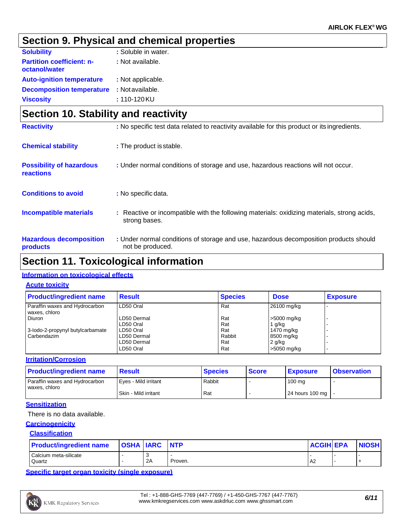# **Section 9. Physical and chemical properties**

| <b>Solubility</b>                                 | : Soluble in water. |
|---------------------------------------------------|---------------------|
| <b>Partition coefficient: n-</b><br>octanol/water | : Not available.    |
| <b>Auto-ignition temperature</b>                  | : Not applicable.   |
| <b>Decomposition temperature</b>                  | : Not available.    |
| <b>Viscosity</b>                                  | : 110-120KU         |

| Section 10. Stability and reactivity         |                                                                                                              |  |  |
|----------------------------------------------|--------------------------------------------------------------------------------------------------------------|--|--|
| <b>Reactivity</b>                            | : No specific test data related to reactivity available for this product or its ingredients.                 |  |  |
| <b>Chemical stability</b>                    | : The product is stable.                                                                                     |  |  |
| <b>Possibility of hazardous</b><br>reactions | : Under normal conditions of storage and use, hazardous reactions will not occur.                            |  |  |
| <b>Conditions to avoid</b>                   | : No specific data.                                                                                          |  |  |
| <b>Incompatible materials</b>                | : Reactive or incompatible with the following materials: oxidizing materials, strong acids,<br>strong bases. |  |  |
| <b>Hazardous decomposition</b><br>products   | : Under normal conditions of storage and use, hazardous decomposition products should<br>not be produced.    |  |  |

## **Section 11. Toxicological information**

### **Information on toxicological effects**

### **Acute toxicity**

| <b>Product/ingredient name</b>                  | <b>Result</b> | <b>Species</b> | <b>Dose</b> | <b>Exposure</b> |
|-------------------------------------------------|---------------|----------------|-------------|-----------------|
| Paraffin waxes and Hydrocarbon<br>waxes, chloro | LD50 Oral     | Rat            | 26100 mg/kg |                 |
| Diuron                                          | LD50 Dermal   | Rat            | >5000 mg/kg |                 |
|                                                 | LD50 Oral     | Rat            | 1 g/kg      |                 |
| 3-lodo-2-propynyl butylcarbamate                | LD50 Oral     | Rat            | 1470 mg/kg  |                 |
| Carbendazim                                     | LD50 Dermal   | Rabbit         | 8500 mg/kg  |                 |
|                                                 | LD50 Dermal   | Rat            | $2$ g/kg    |                 |
|                                                 | LD50 Oral     | Rat            | >5050 mg/kg |                 |

### **Irritation/Corrosion**

| <b>Product/ingredient name</b>                  | <b>Result</b>        | <b>Species</b> | <b>Score</b> | <b>Exposure</b>     | <b>Observation</b> |
|-------------------------------------------------|----------------------|----------------|--------------|---------------------|--------------------|
| Paraffin waxes and Hydrocarbon<br>waxes, chloro | Eves - Mild irritant | Rabbit         |              | 100 mg              |                    |
|                                                 | Skin - Mild irritant | Rat            |              | 24 hours 100 mg   - |                    |

### **Sensitization**

### There is no data available.

### **Carcinogenicity**

### **Classification**

| <b>Product/ingredient name</b>  | <b>OSHA IARC INTP</b> |    |         | <b>ACGIH EPA</b> | <b>NIOSH</b> |
|---------------------------------|-----------------------|----|---------|------------------|--------------|
| Calcium meta-silicate<br>Quartz |                       | 2A | Proven. | A <sub>2</sub>   |              |

**Specific target organ toxicity (single exposure)**



Tel : +1-888-GHS-7769 (447-7769) / +1-450-GHS-7767 (447-7767) [www.kmkregservices.com](http://www.kmkregservices.com/) [www.askdrluc.com](http://www.askdrluc.com/) [www.ghssmart.com](http://www.ghssmart.com/) *6/11*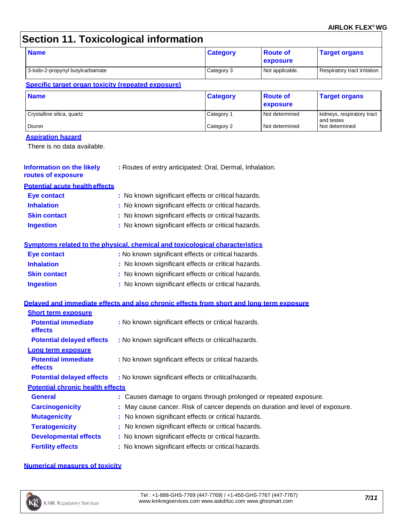### **AIRLOK FLEX® WG**

# **Section 11. Toxicological information**

| <b>Name</b>                      | <b>Category</b> | ∣ Route of<br><b>exposure</b> | <b>Target organs</b>         |
|----------------------------------|-----------------|-------------------------------|------------------------------|
| 3-lodo-2-propynyl butylcarbamate | Category 3      | Not applicable.               | Respiratory tract irritation |

### **Specific target organ toxicity (repeated exposure)**

| <b>Name</b>                | <b>Category</b> | ∣ Route of<br>exposure | <b>Target organs</b>                     |
|----------------------------|-----------------|------------------------|------------------------------------------|
| Crystalline silica, quartz | Category 1      | Not determined         | kidneys, respiratory tract<br>and testes |
| Diuron                     | Category 2      | Not determined         | Not determined                           |

### **Aspiration hazard**

There is no data available.

| <b>Information on the likely</b> | : Routes of entry anticipated: Oral, Dermal, Inhalation. |  |
|----------------------------------|----------------------------------------------------------|--|
| routes of exposure               |                                                          |  |

**Potential acute healtheffects**

| Eye contact         | : No known significant effects or critical hazards. |
|---------------------|-----------------------------------------------------|
| <b>Inhalation</b>   | : No known significant effects or critical hazards. |
| <b>Skin contact</b> | : No known significant effects or critical hazards. |
| <b>Ingestion</b>    | : No known significant effects or critical hazards. |

### **Symptoms related to the physical, chemical and toxicological characteristics**

| <b>Eye contact</b>  | : No known significant effects or critical hazards. |
|---------------------|-----------------------------------------------------|
| <b>Inhalation</b>   | : No known significant effects or critical hazards. |
| <b>Skin contact</b> | : No known significant effects or critical hazards. |
| <b>Ingestion</b>    | : No known significant effects or critical hazards. |

### **Delayed and immediate effects and also chronic effects from short and long term exposure**

| <b>Short term exposure</b>              |                                                                               |
|-----------------------------------------|-------------------------------------------------------------------------------|
| <b>Potential immediate</b><br>effects   | : No known significant effects or critical hazards.                           |
| <b>Potential delayed effects</b>        | : No known significant effects or critical hazards.                           |
| Long term exposure                      |                                                                               |
| <b>Potential immediate</b><br>effects   | : No known significant effects or critical hazards.                           |
| <b>Potential delayed effects</b>        | : No known significant effects or critical hazards.                           |
| <b>Potential chronic health effects</b> |                                                                               |
| <b>General</b>                          | : Causes damage to organs through prolonged or repeated exposure.             |
| <b>Carcinogenicity</b>                  | : May cause cancer. Risk of cancer depends on duration and level of exposure. |
| <b>Mutagenicity</b>                     | : No known significant effects or critical hazards.                           |
| <b>Teratogenicity</b>                   | : No known significant effects or critical hazards.                           |
| <b>Developmental effects</b>            | : No known significant effects or critical hazards.                           |
| <b>Fertility effects</b>                | : No known significant effects or critical hazards.                           |

### **Numerical measures of toxicity**

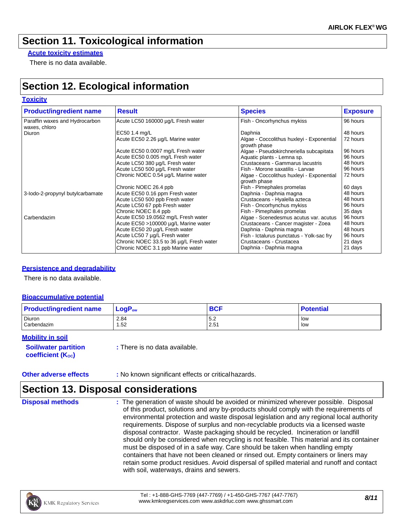## **Section 11. Toxicological information**

**Acute toxicity estimates**

There is no data available.

# **Section 12. Ecological information**

### **Toxicity**

| <b>Product/ingredient name</b>                  | <b>Result</b>                            | <b>Species</b>                                            | <b>Exposure</b> |
|-------------------------------------------------|------------------------------------------|-----------------------------------------------------------|-----------------|
| Paraffin waxes and Hydrocarbon<br>waxes, chloro | Acute LC50 160000 µg/L Fresh water       | Fish - Oncorhynchus mykiss                                | 96 hours        |
| Diuron                                          | EC50 1.4 mg/L                            | Daphnia                                                   | 48 hours        |
|                                                 | Acute EC50 2.26 µg/L Marine water        | Algae - Coccolithus huxleyi - Exponential<br>growth phase | 72 hours        |
|                                                 | Acute EC50 0.0007 mg/L Fresh water       | Algae - Pseudokirchneriella subcapitata                   | 96 hours        |
|                                                 | Acute EC50 0.005 mg/L Fresh water        | Aquatic plants - Lemna sp.                                | 96 hours        |
|                                                 | Acute LC50 380 µg/L Fresh water          | Crustaceans - Gammarus lacustris                          | 48 hours        |
|                                                 | Acute LC50 500 µg/L Fresh water          | Fish - Morone saxatilis - Larvae                          | 96 hours        |
|                                                 | Chronic NOEC 0.54 µg/L Marine water      | Algae - Coccolithus huxleyi - Exponential<br>growth phase | 72 hours        |
|                                                 | Chronic NOEC 26.4 ppb                    | Fish - Pimephales promelas                                | 60 days         |
| 3-lodo-2-propynyl butylcarbamate                | Acute EC50 0.16 ppm Fresh water          | Daphnia - Daphnia magna                                   | 48 hours        |
|                                                 | Acute LC50 500 ppb Fresh water           | Crustaceans - Hyalella azteca                             | 48 hours        |
|                                                 | Acute LC50 67 ppb Fresh water            | Fish - Oncorhynchus mykiss                                | 96 hours        |
|                                                 | Chronic NOEC 8.4 ppb                     | Fish - Pimephales promelas                                | 35 days         |
| Carbendazim                                     | Acute EC50 19.0562 mg/L Fresh water      | Algae - Scenedesmus acutus var. acutus                    | 96 hours        |
|                                                 | Acute EC50 >100000 µg/L Marine water     | Crustaceans - Cancer magister - Zoea                      | 48 hours        |
|                                                 | Acute EC50 20 µg/L Fresh water           | Daphnia - Daphnia magna                                   | 48 hours        |
|                                                 | Acute LC50 7 µg/L Fresh water            | Fish - Ictalurus punctatus - Yolk-sac fry                 | 96 hours        |
|                                                 | Chronic NOEC 33.5 to 36 µg/L Fresh water | Crustaceans - Crustacea                                   | 21 days         |
|                                                 | Chronic NOEC 3.1 ppb Marine water        | Daphnia - Daphnia magna                                   | 21 days         |

### **Persistence and degradability**

There is no data available.

### **Bioaccumulative potential**

| <b>Product/ingredient name</b> | $\mathsf{LogP}_\mathsf{ow}$ | <b>BCF</b>               | <b>Potential</b> |
|--------------------------------|-----------------------------|--------------------------|------------------|
| Diuron<br>Carbendazim          | 2.84<br>1.52                | 57<br><b>⊃.د</b><br>2.51 | low<br>low       |

**Mobility in soil**

**Soil/water partition coefficient (Koc)** 

**:** There is no data available.

### **Section 13. Disposal considerations**

**Disposal methods** : The generation of waste should be avoided or minimized wherever possible. Disposal of this product, solutions and any by-products should comply with the requirements of environmental protection and waste disposal legislation and any regional local authority requirements. Dispose of surplus and non-recyclable products via a licensed waste disposal contractor. Waste packaging should be recycled. Incineration or landfill should only be considered when recycling is not feasible. This material and its container must be disposed of in a safe way. Care should be taken when handling empty containers that have not been cleaned or rinsed out. Empty containers or liners may retain some product residues. Avoid dispersal of spilled material and runoff and contact with soil, waterways, drains and sewers.

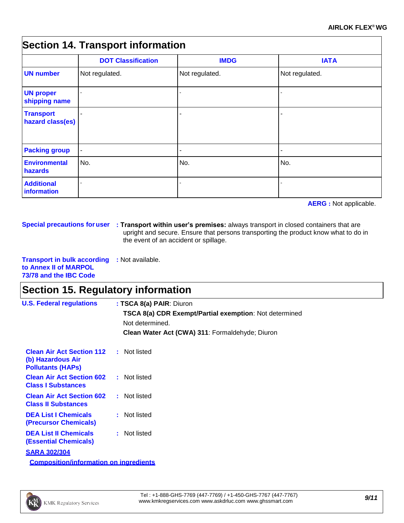## **Section 14. Transport information**

|                                      | <b>DOT Classification</b> | <b>IMDG</b>    | <b>IATA</b>    |
|--------------------------------------|---------------------------|----------------|----------------|
| <b>UN number</b>                     | Not regulated.            | Not regulated. | Not regulated. |
| <b>UN proper</b><br>shipping name    |                           |                |                |
| <b>Transport</b><br>hazard class(es) |                           |                |                |
| <b>Packing group</b>                 | $\blacksquare$            |                |                |
| <b>Environmental</b><br>hazards      | No.                       | No.            | No.            |
| <b>Additional</b><br>information     |                           |                |                |

**AERG :** Not applicable.

**Special precautions foruser : Transport within user's premises:** always transport in closed containers that are upright and secure. Ensure that persons transporting the product know what to do in the event of an accident or spillage.

**Transport in bulk according :** Not available. **to Annex II of MARPOL 73/78 and the IBC Code**

# **Section 15. Regulatory information**

| <b>U.S. Federal regulations</b>                                                                | : TSCA 8(a) PAIR: Diuron                                                         |  |  |  |  |  |
|------------------------------------------------------------------------------------------------|----------------------------------------------------------------------------------|--|--|--|--|--|
|                                                                                                | <b>TSCA 8(a) CDR Exempt/Partial exemption: Not determined</b><br>Not determined. |  |  |  |  |  |
|                                                                                                | Clean Water Act (CWA) 311: Formaldehyde; Diuron                                  |  |  |  |  |  |
| <b>Clean Air Act Section 112 : Not listed</b><br>(b) Hazardous Air<br><b>Pollutants (HAPs)</b> |                                                                                  |  |  |  |  |  |
| <b>Clean Air Act Section 602 : Not listed</b><br><b>Class I Substances</b>                     |                                                                                  |  |  |  |  |  |
| <b>Clean Air Act Section 602</b><br><b>Class II Substances</b>                                 | : Not listed                                                                     |  |  |  |  |  |
| <b>DEA List I Chemicals</b><br><b>(Precursor Chemicals)</b>                                    | : Not listed                                                                     |  |  |  |  |  |
| <b>DEA List II Chemicals</b><br><b>(Essential Chemicals)</b>                                   | : Not listed                                                                     |  |  |  |  |  |
| <b>SARA 302/304</b>                                                                            |                                                                                  |  |  |  |  |  |
| <b>Composition/information on ingredients</b>                                                  |                                                                                  |  |  |  |  |  |

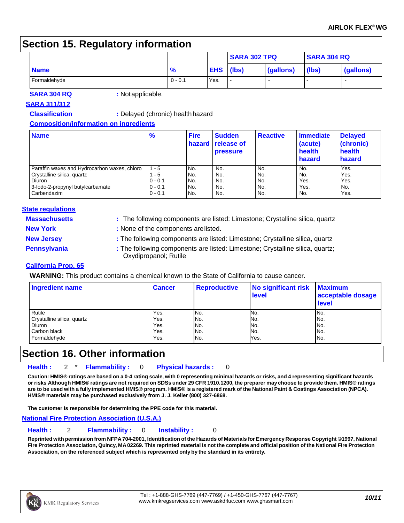## **Section 15. Regulatory information**

| ີ            |               |            | <b>SARA 302 TPQ</b> |           | <b>SARA 304 RQ</b> |           |
|--------------|---------------|------------|---------------------|-----------|--------------------|-----------|
| <b>Name</b>  | $\frac{9}{6}$ | <b>EHS</b> | (lbs)               | (gallons) | (lbs)              | (gallons) |
| Formaldehyde | $0 - 0.1$     | Yes.       |                     |           |                    |           |

**SARA 304 RQ :** Notapplicable.

### **SARA 311/312**

### **Classification :** Delayed (chronic) healthhazard

**Composition/information on ingredients**

| <b>Name</b>                                  | %         | <b>Fire</b><br><b>hazard</b> | <b>Sudden</b><br><b>release of</b><br><b>pressure</b> | <b>Reactive</b> | <b>Immediate</b><br>(acute)<br>health<br>hazard | <b>Delayed</b><br>(chronic)<br>health<br>hazard |
|----------------------------------------------|-----------|------------------------------|-------------------------------------------------------|-----------------|-------------------------------------------------|-------------------------------------------------|
| Paraffin waxes and Hydrocarbon waxes, chloro | $1 - 5$   | No.                          | No.                                                   | No.             | No.                                             | Yes.                                            |
| Crystalline silica, quartz                   | $1 - 5$   | No.                          | No.                                                   | No.             | No.                                             | Yes.                                            |
| Diuron                                       | $0 - 0.1$ | No.                          | No.                                                   | No.             | Yes.                                            | Yes.                                            |
| 3-lodo-2-propynyl butylcarbamate             | $0 - 0.1$ | No.                          | No.                                                   | No.             | Yes.                                            | No.                                             |
| Carbendazim                                  | $0 - 0.1$ | No.                          | No.                                                   | No.             | No.                                             | Yes.                                            |

### **State regulations**

- **Massachusetts :** The following components are listed: Limestone; Crystalline silica, quartz
- 
- **New York :** None of the components arelisted.
- **New Jersey :** The following components are listed: Limestone; Crystalline silica, quartz

**Pennsylvania : The following components are listed: Limestone; Crystalline silica, quartz;** Oxydipropanol; Rutile

### **California Prop. 65**

**WARNING:** This product contains a chemical known to the State of California to cause cancer.

| <b>Ingredient name</b>     | <b>Cancer</b> | <b>Reproductive</b> | No significant risk<br>level | <b>Maximum</b><br>acceptable dosage<br>level |
|----------------------------|---------------|---------------------|------------------------------|----------------------------------------------|
| Rutile                     | Yes.          | No.                 | No.                          | No.                                          |
| Crystalline silica, quartz | Yes.          | No.                 | No.                          | No.                                          |
| Diuron                     | Yes.          | No.                 | No.                          | No.                                          |
| Carbon black               | Yes.          | No.                 | No.                          | No.                                          |
| Formaldehyde               | Yes.          | No.                 | Yes.                         | No.                                          |

## **Section 16. Other information**

**Health :** 2 \* **Flammability :** 0 **Physical hazards :** 0

Caution: HMIS® ratings are based on a 0-4 rating scale, with 0 representing minimal hazards or risks, and 4 representing significant hazards or risks Although HMIS® ratings are not required on SDSs under 29 CFR 1910.1200, the preparer may choose to provide them. HMIS® ratings are to be used with a fully implemented HMIS® program. HMIS® is a registered mark of the National Paint & Coatings Association (NPCA). **HMIS® materials may be purchased exclusively from J. J. Keller (800) 327-6868.**

**The customer is responsible for determining the PPE code for this material.**

### **National Fire Protection Association (U.S.A.)**

**Health :** 2 **Flammability :** 0 **Instability :** 0

Reprinted with permission from NFPA 704-2001, Identification of the Hazards of Materials for Emergency Response Copyright ©1997, National Fire Protection Association, Quincy, MA02269. This reprinted material is not the complete and official position of the National Fire Protection **Association, on the referenced subject which is represented only by the standard in its entirety.**